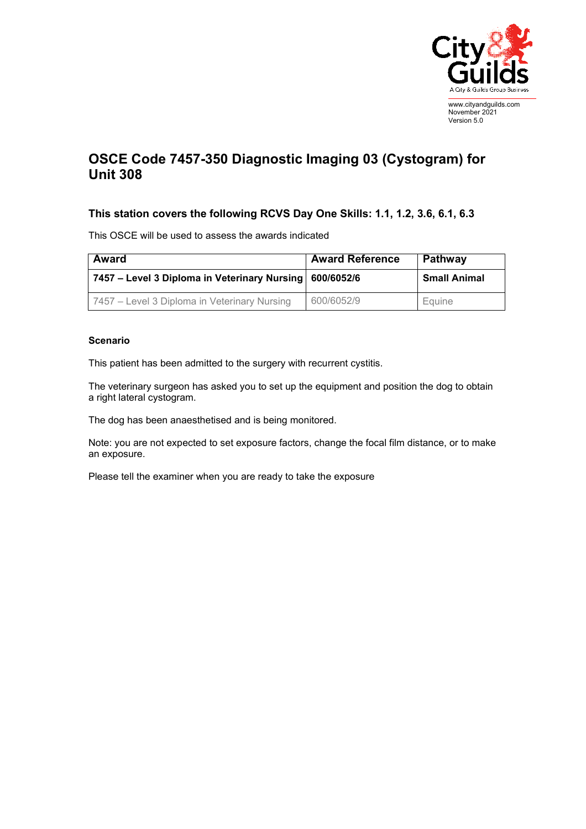

## **OSCE Code 7457-350 Diagnostic Imaging 03 (Cystogram) for Unit 308**

## **This station covers the following RCVS Day One Skills: 1.1, 1.2, 3.6, 6.1, 6.3**

This OSCE will be used to assess the awards indicated

| Award                                                     | <b>Award Reference</b> | <b>Pathway</b>      |
|-----------------------------------------------------------|------------------------|---------------------|
| 7457 – Level 3 Diploma in Veterinary Nursing   600/6052/6 |                        | <b>Small Animal</b> |
| 7457 – Level 3 Diploma in Veterinary Nursing              | 600/6052/9             | Equine              |

## **Scenario**

This patient has been admitted to the surgery with recurrent cystitis.

The veterinary surgeon has asked you to set up the equipment and position the dog to obtain a right lateral cystogram.

The dog has been anaesthetised and is being monitored.

Note: you are not expected to set exposure factors, change the focal film distance, or to make an exposure.

Please tell the examiner when you are ready to take the exposure